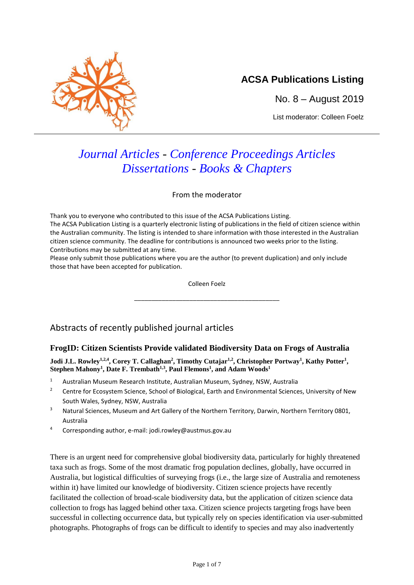

## **ACSA Publications Listing**

No. 8 – August 2019

List moderator: Colleen Foelz

# *Journal Articles - Conference Proceedings Articles Dissertations - Books & Chapters*

From the moderator

Thank you to everyone who contributed to this issue of the ACSA Publications Listing. The ACSA Publication Listing is a quarterly electronic listing of publications in the field of citizen science within the Australian community. The listing is intended to share information with those interested in the Australian citizen science community. The deadline for contributions is announced two weeks prior to the listing. Contributions may be submitted at any time.

Please only submit those publications where you are the author (to prevent duplication) and only include those that have been accepted for publication.

Colleen Foelz

\_\_\_\_\_\_\_\_\_\_\_\_\_\_\_\_\_\_\_\_\_\_\_\_\_\_\_\_\_\_\_\_\_\_\_\_\_\_\_\_\_\_

## Abstracts of recently published journal articles

## **FrogID: Citizen Scientists Provide validated Biodiversity Data on Frogs of Australia**

**Jodi J.L. Rowley1,2,4, Corey T. Callaghan<sup>2</sup> , Timothy Cutajar 1,2, Christopher Portway<sup>1</sup> , Kathy Potter<sup>1</sup> , Stephen Mahony<sup>1</sup> , Date F. Trembath1,3 , Paul Flemons<sup>1</sup> , and Adam Woods<sup>1</sup>**

- <sup>1</sup> Australian Museum Research Institute, Australian Museum, Sydney, NSW, Australia
- <sup>2</sup> Centre for Ecosystem Science, School of Biological, Earth and Environmental Sciences, University of New South Wales, Sydney, NSW, Australia
- <sup>3</sup> Natural Sciences, Museum and Art Gallery of the Northern Territory, Darwin, Northern Territory 0801, Australia
- <sup>4</sup> Corresponding author, e-mail: jodi.rowley@austmus.gov.au

There is an urgent need for comprehensive global biodiversity data, particularly for highly threatened taxa such as frogs. Some of the most dramatic frog population declines, globally, have occurred in Australia, but logistical difficulties of surveying frogs (i.e., the large size of Australia and remoteness within it) have limited our knowledge of biodiversity. Citizen science projects have recently facilitated the collection of broad-scale biodiversity data, but the application of citizen science data collection to frogs has lagged behind other taxa. Citizen science projects targeting frogs have been successful in collecting occurrence data, but typically rely on species identification via user-submitted photographs. Photographs of frogs can be difficult to identify to species and may also inadvertently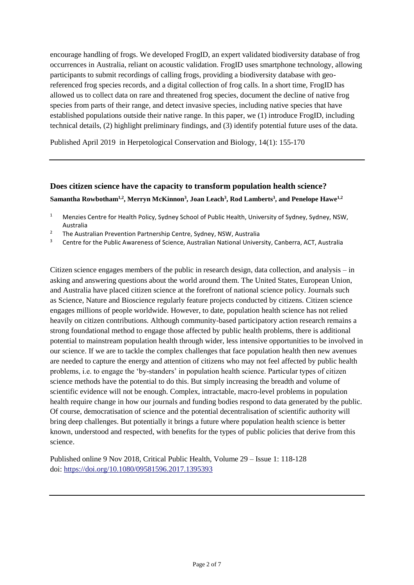encourage handling of frogs. We developed FrogID, an expert validated biodiversity database of frog occurrences in Australia, reliant on acoustic validation. FrogID uses smartphone technology, allowing participants to submit recordings of calling frogs, providing a biodiversity database with georeferenced frog species records, and a digital collection of frog calls. In a short time, FrogID has allowed us to collect data on rare and threatened frog species, document the decline of native frog species from parts of their range, and detect invasive species, including native species that have established populations outside their native range. In this paper, we (1) introduce FrogID, including technical details, (2) highlight preliminary findings, and (3) identify potential future uses of the data.

Published April 2019 in Herpetological Conservation and Biology, 14(1): 155-170

## **Does citizen science have the capacity to transform population health science?**  $\boldsymbol{\mathrm{Samantha~Row botham^{1,2}, \mathrm{Merryn~McKinnon^3, Joan Leach^3, Rod Lamberts^3, and Penelope Hawe^{1,2}}}$

- <sup>2</sup> The Australian Prevention Partnership Centre, Sydney, NSW, Australia
- <sup>3</sup> Centre for the Public Awareness of Science, Australian National University, Canberra, ACT, Australia

Citizen science engages members of the public in research design, data collection, and analysis – in asking and answering questions about the world around them. The United States, European Union, and Australia have placed citizen science at the forefront of national science policy. Journals such as Science, Nature and Bioscience regularly feature projects conducted by citizens. Citizen science engages millions of people worldwide. However, to date, population health science has not relied heavily on citizen contributions. Although community-based participatory action research remains a strong foundational method to engage those affected by public health problems, there is additional potential to mainstream population health through wider, less intensive opportunities to be involved in our science. If we are to tackle the complex challenges that face population health then new avenues are needed to capture the energy and attention of citizens who may not feel affected by public health problems, i.e. to engage the 'by-standers' in population health science. Particular types of citizen science methods have the potential to do this. But simply increasing the breadth and volume of scientific evidence will not be enough. Complex, intractable, macro-level problems in population health require change in how our journals and funding bodies respond to data generated by the public. Of course, democratisation of science and the potential decentralisation of scientific authority will bring deep challenges. But potentially it brings a future where population health science is better known, understood and respected, with benefits for the types of public policies that derive from this science.

Published online 9 Nov 2018, Critical Public Health, Volume 29 – Issue 1: 118-128 doi: <https://doi.org/10.1080/09581596.2017.1395393>

<sup>&</sup>lt;sup>1</sup> Menzies Centre for Health Policy, Sydney School of Public Health, University of Sydney, Sydney, NSW, Australia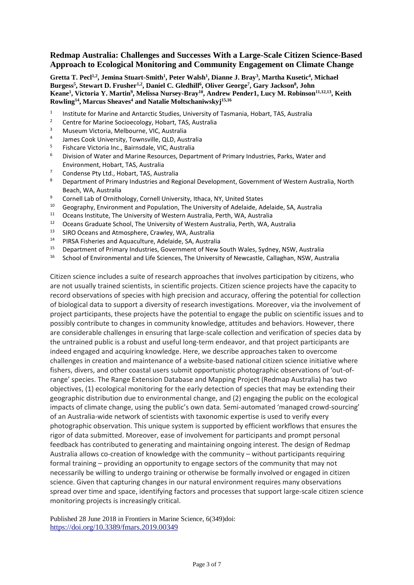#### **Redmap Australia: Challenges and Successes With a Large-Scale Citizen Science-Based Approach to Ecological Monitoring and Community Engagement on Climate Change**

[Gretta T. Pecl](https://www.frontiersin.org/people/u/638629)<sup>1,2</sup>, Jemina Stuart-Smith<sup>1</sup>, Peter Walsh<sup>1</sup>, [Dianne J. Bray](https://www.frontiersin.org/people/u/741206)<sup>3</sup>, Martha Kusetic<sup>4</sup>, Michael **Burgess 5 , [Stewart D. Frusher](https://www.frontiersin.org/people/u/549389)1,2 , Daniel C. Gledhill 6 , Oliver George 7 , Gary Jackson 8 , John Keane 1 , [Victoria Y. Martin](https://www.frontiersin.org/people/u/661142)<sup>9</sup> , [Melissa Nursey-Bray](https://www.frontiersin.org/people/u/255083)<sup>10</sup> , Andrew Pender1, [Lucy M. Robinson](https://www.frontiersin.org/people/u/722230)11,12,13 , Keith Rowling 14 , [Marcus Sheaves](https://www.frontiersin.org/people/u/685223)<sup>4</sup> and Natalie Moltschaniwskyj 15,16**

- 1 Institute for Marine and Antarctic Studies, University of Tasmania, Hobart, TAS, Australia
- <sup>2</sup> Centre for Marine Socioecology, Hobart, TAS, Australia
- <sup>3</sup> Museum Victoria, Melbourne, VIC, Australia
- 4 James Cook University, Townsville, QLD, Australia
- 5 Fishcare Victoria Inc., Bairnsdale, VIC, Australia
- $6$  Division of Water and Marine Resources, Department of Primary Industries, Parks, Water and Environment, Hobart, TAS, Australia
- <sup>7</sup> Condense Pty Ltd., Hobart, TAS, Australia<sup>8</sup>
- <sup>8</sup> Department of Primary Industries and Regional Development, Government of Western Australia, North Beach, WA, Australia
- <sup>9</sup> Cornell Lab of Ornithology, Cornell University, Ithaca, NY, United States
- <sup>10</sup> Geography, Environment and Population, The University of Adelaide, Adelaide, SA, Australia
- <sup>11</sup> Oceans Institute, The University of Western Australia, Perth, WA, Australia
- <sup>12</sup> Oceans Graduate School, The University of Western Australia, Perth, WA, Australia
- <sup>13</sup> SIRO Oceans and Atmosphere, Crawley, WA, Australia<br><sup>14</sup> BIRSA Fisheries and Aquaculture, Adelaide, SA, Australia
- <sup>14</sup> PIRSA Fisheries and Aquaculture, Adelaide, SA, Australia<br><sup>15</sup> Department of Primary Industries, Government of Now S
- <sup>15</sup> Department of Primary Industries, Government of New South Wales, Sydney, NSW, Australia
- <sup>16</sup> School of Environmental and Life Sciences, The University of Newcastle, Callaghan, NSW, Australia

Citizen science includes a suite of research approaches that involves participation by citizens, who are not usually trained scientists, in scientific projects. Citizen science projects have the capacity to record observations of species with high precision and accuracy, offering the potential for collection of biological data to support a diversity of research investigations. Moreover, via the involvement of project participants, these projects have the potential to engage the public on scientific issues and to possibly contribute to changes in community knowledge, attitudes and behaviors. However, there are considerable challenges in ensuring that large-scale collection and verification of species data by the untrained public is a robust and useful long-term endeavor, and that project participants are indeed engaged and acquiring knowledge. Here, we describe approaches taken to overcome challenges in creation and maintenance of a website-based national citizen science initiative where fishers, divers, and other coastal users submit opportunistic photographic observations of 'out-ofrange' species. The Range Extension Database and Mapping Project (Redmap Australia) has two objectives, (1) ecological monitoring for the early detection of species that may be extending their geographic distribution due to environmental change, and (2) engaging the public on the ecological impacts of climate change, using the public's own data. Semi-automated 'managed crowd-sourcing' of an Australia-wide network of scientists with taxonomic expertise is used to verify every photographic observation. This unique system is supported by efficient workflows that ensures the rigor of data submitted. Moreover, ease of involvement for participants and prompt personal feedback has contributed to generating and maintaining ongoing interest. The design of Redmap Australia allows co-creation of knowledge with the community – without participants requiring formal training – providing an opportunity to engage sectors of the community that may not necessarily be willing to undergo training or otherwise be formally involved or engaged in citizen science. Given that capturing changes in our natural environment requires many observations spread over time and space, identifying factors and processes that support large-scale citizen science monitoring projects is increasingly critical.

Published 28 June 2018 in Frontiers in Marine Science, 6(349)doi: <https://doi.org/10.3389/fmars.2019.00349>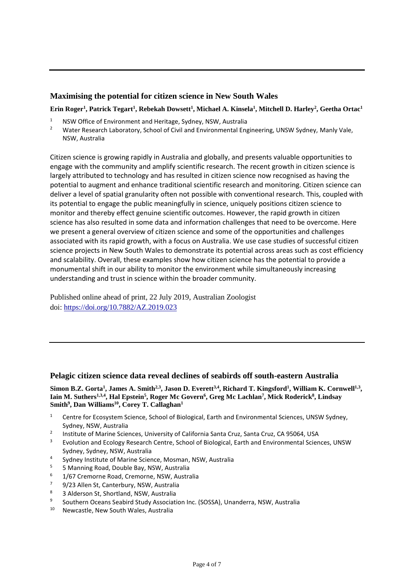### **Maximising the potential for citizen science in New South Wales**

Erin Roger<sup>1</sup>[,](https://publications.rzsnsw.org.au/doi/10.7882/AZ.2019.023#fn1) Pa[t](https://publications.rzsnsw.org.au/doi/10.7882/AZ.2019.023#fn1)rick Tegart<sup>[1](https://publications.rzsnsw.org.au/doi/10.7882/AZ.2019.023#fn1)</sup>, Rebekah Dowsett<sup>1</sup>, Michael A. Kinsela<sup>1</sup>, Mitchell D. Harley<sup>[2](https://publications.rzsnsw.org.au/doi/10.7882/AZ.2019.023#fn2)</sup>, Geetha Orta[c](https://publications.rzsnsw.org.au/doi/10.7882/AZ.2019.023#fn1)<sup>1</sup>

- <sup>1</sup> NSW Office of Environment and Heritage, Sydney, NSW, Australia
- <sup>2</sup> Water Research Laboratory, School of Civil and Environmental Engineering, UNSW Sydney, Manly Vale, NSW, Australia

Citizen science is growing rapidly in Australia and globally, and presents valuable opportunities to engage with the community and amplify scientific research. The recent growth in citizen science is largely attributed to technology and has resulted in citizen science now recognised as having the potential to augment and enhance traditional scientific research and monitoring. Citizen science can deliver a level of spatial granularity often not possible with conventional research. This, coupled with its potential to engage the public meaningfully in science, uniquely positions citizen science to monitor and thereby effect genuine scientific outcomes. However, the rapid growth in citizen science has also resulted in some data and information challenges that need to be overcome. Here we present a general overview of citizen science and some of the opportunities and challenges associated with its rapid growth, with a focus on Australia. We use case studies of successful citizen science projects in New South Wales to demonstrate its potential across areas such as cost efficiency and scalability. Overall, these examples show how citizen science has the potential to provide a monumental shift in our ability to monitor the environment while simultaneously increasing understanding and trust in science within the broader community.

Published online ahead of print, 22 July 2019, Australian Zoologist doi: <https://doi.org/10.7882/AZ.2019.023>

#### **Pelagic citizen science data reveal declines of seabirds off south-eastern Australia**

[Simon B.Z.](https://www.sciencedirect.com/science/article/abs/pii/S0006320718318767#!) Gorta<sup>1</sup>, [James A.](https://www.sciencedirect.com/science/article/abs/pii/S0006320718318767#!) Smith<sup>2,3</sup>, [Jason D.](https://www.sciencedirect.com/science/article/abs/pii/S0006320718318767#!) Everett<sup>3,4</sup>, [Richard T.](https://www.sciencedirect.com/science/article/abs/pii/S0006320718318767#!) Kingsford<sup>1</sup>, [William K.](https://www.sciencedirect.com/science/article/abs/pii/S0006320718318767#!) Cornwell<sup>1,3</sup>, Iain M. [Suthers](https://www.sciencedirect.com/science/article/abs/pii/S0006320718318767#!)<sup>1,3,4</sup>, Hal [Epstein](https://www.sciencedirect.com/science/article/abs/pii/S0006320718318767#!)<sup>5</sup>, Roger Mc [Govern](https://www.sciencedirect.com/science/article/abs/pii/S0006320718318767#!)<sup>6</sup>, Greg Mc [Lachlan](https://www.sciencedirect.com/science/article/abs/pii/S0006320718318767#!)<sup>7</sup>, Mick [Roderick](https://www.sciencedirect.com/science/article/abs/pii/S0006320718318767#!)<sup>8</sup>, [Lindsay](https://www.sciencedirect.com/science/article/abs/pii/S0006320718318767#!) **[Smith](https://www.sciencedirect.com/science/article/abs/pii/S0006320718318767#!)<sup>9</sup> , Dan [Williams](https://www.sciencedirect.com/science/article/abs/pii/S0006320718318767#!)<sup>10</sup> , Corey T. [Callaghan](https://www.sciencedirect.com/science/article/abs/pii/S0006320718318767#!)<sup>1</sup>**

- <sup>1</sup> Centre for Ecosystem Science, School of Biological, Earth and Environmental Sciences, UNSW Sydney, Sydney, NSW, Australia
- 2 Institute of Marine Sciences, University of California Santa Cruz, Santa Cruz, CA 95064, USA
- <sup>3</sup> Evolution and Ecology Research Centre, School of Biological, Earth and Environmental Sciences, UNSW Sydney, Sydney, NSW, Australia
- 4 Sydney Institute of Marine Science, Mosman, NSW, Australia
- <sup>5</sup> 5 Manning Road, Double Bay, NSW, Australia<br><sup>6</sup> 1/67 Cremorne Boad, Cremorne, NSW, Australia
- <sup>6</sup> 1/67 Cremorne Road, Cremorne, NSW, Australia<sup>7</sup> 9/22 Allen St. Canterbury, NSW, Australia
- $\frac{7}{8}$  9/23 Allen St, Canterbury, NSW, Australia
- <sup>8</sup> 3 Alderson St, Shortland, NSW, Australia
- $\alpha$ Southern Oceans Seabird Study Association Inc. (SOSSA), Unanderra, NSW, Australia
- <sup>10</sup> Newcastle, New South Wales, Australia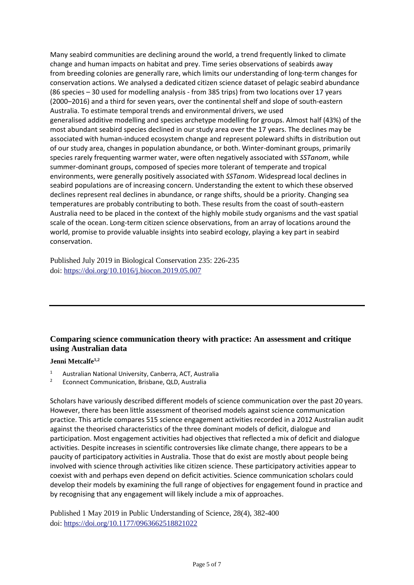Many [seabird](https://www.sciencedirect.com/topics/agricultural-and-biological-sciences/seabirds) communities are declining around the world, a trend frequently linked to climate change and [human impacts](https://www.sciencedirect.com/topics/earth-and-planetary-sciences/anthropogenic-effect) on habitat and prey. Time series observations of seabirds away from [breeding colonies](https://www.sciencedirect.com/topics/earth-and-planetary-sciences/breeding-population) are generally rare, which limits our understanding of long-term changes for conservation actions. We analysed a dedicated citizen science dataset of pelagic seabird abundance (86 species – 30 used for modelling analysis - from 385 trips) from two locations over 17 years (2000–2016) and a third for seven years, over the [continental shelf](https://www.sciencedirect.com/topics/agricultural-and-biological-sciences/continental-shelf) and slope of south-eastern Australia. To estimate temporal trends and environmental drivers, we used generalised [additive](https://www.sciencedirect.com/topics/earth-and-planetary-sciences/additive) modelling and species archetype modelling for groups. Almost half (43%) of the most abundant seabird species declined in our study area over the 17 years. The declines may be associated with human-induced [ecosystem change](https://www.sciencedirect.com/topics/earth-and-planetary-sciences/ecosystem-change) and represent poleward shifts in distribution out of our study area, changes in population abundance, or both. Winter-dominant groups, primarily species rarely frequenting warmer water, were often negatively associated with *SSTanom*, while summer-dominant groups, composed of species more tolerant of [temperate and tropical](https://www.sciencedirect.com/topics/earth-and-planetary-sciences/temperate-environment)  [environments,](https://www.sciencedirect.com/topics/earth-and-planetary-sciences/temperate-environment) were generally positively associated with *SSTanom*. Widespread local declines in seabird populations are of increasing concern. Understanding the extent to which these observed declines represent real declines in abundance, or range shifts, should be a priority. Changing sea temperatures are probably contributing to both. These results from the coast of south-eastern Australia need to be placed in the context of the highly mobile study organisms and the vast spatial scale of the ocean. Long-term citizen science observations, from an array of locations around the world, promise to provide valuable insights into seabird [ecology,](https://www.sciencedirect.com/topics/agricultural-and-biological-sciences/ecology) playing a key part in seabird conservation.

Published July 2019 in Biological Conservation 235: 226-235 doi: <https://doi.org/10.1016/j.biocon.2019.05.007>

## **Comparing science communication theory with practice: An assessment and critique using Australian data**

#### **Jenni Metcalfe1,2**

- <sup>1</sup> Australian National University, Canberra, ACT, Australia
- <sup>2</sup> Econnect Communication, Brisbane, QLD, Australia

Scholars have variously described different models of science communication over the past 20 years. However, there has been little assessment of theorised models against science communication practice. This article compares 515 science engagement activities recorded in a 2012 Australian audit against the theorised characteristics of the three dominant models of deficit, dialogue and participation. Most engagement activities had objectives that reflected a mix of deficit and dialogue activities. Despite increases in scientific controversies like climate change, there appears to be a paucity of participatory activities in Australia. Those that do exist are mostly about people being involved with science through activities like citizen science. These participatory activities appear to coexist with and perhaps even depend on deficit activities. Science communication scholars could develop their models by examining the full range of objectives for engagement found in practice and by recognising that any engagement will likely include a mix of approaches.

Published 1 May 2019 in Public Understanding of Science, 28(4), 382-400 doi: [https://doi.org/10.1177/0963662518821022](https://doi.org/10.1177%2F0963662518821022)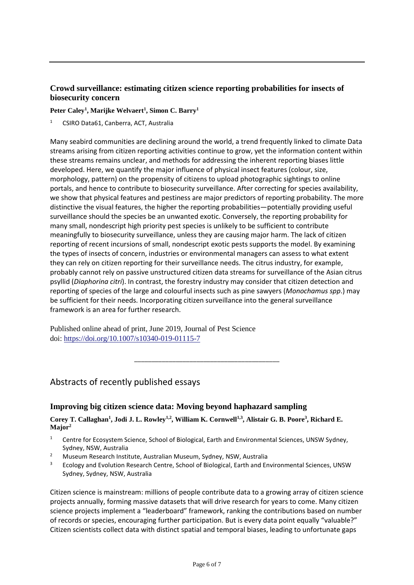## **Crowd surveillance: estimating citizen science reporting probabilities for insects of biosecurity concern**

#### **Peter Caley<sup>1</sup> , Marijke Welvaert<sup>1</sup> , Simon C. Barry<sup>1</sup>**

<sup>1</sup> CSIRO Data61, Canberra, ACT, Australia

Many [seabird](https://www.sciencedirect.com/topics/agricultural-and-biological-sciences/seabirds) communities are declining around the world, a trend frequently linked to climate Data streams arising from citizen reporting activities continue to grow, yet the information content within these streams remains unclear, and methods for addressing the inherent reporting biases little developed. Here, we quantify the major influence of physical insect features (colour, size, morphology, pattern) on the propensity of citizens to upload photographic sightings to online portals, and hence to contribute to biosecurity surveillance. After correcting for species availability, we show that physical features and pestiness are major predictors of reporting probability. The more distinctive the visual features, the higher the reporting probabilities—potentially providing useful surveillance should the species be an unwanted exotic. Conversely, the reporting probability for many small, nondescript high priority pest species is unlikely to be sufficient to contribute meaningfully to biosecurity surveillance, unless they are causing major harm. The lack of citizen reporting of recent incursions of small, nondescript exotic pests supports the model. By examining the types of insects of concern, industries or environmental managers can assess to what extent they can rely on citizen reporting for their surveillance needs. The citrus industry, for example, probably cannot rely on passive unstructured citizen data streams for surveillance of the Asian citrus psyllid (*Diaphorina citri*). In contrast, the forestry industry may consider that citizen detection and reporting of species of the large and colourful insects such as pine sawyers (*Monochamus spp*.) may be sufficient for their needs. Incorporating citizen surveillance into the general surveillance framework is an area for further research.

Published online ahead of print, June 2019, Journal of Pest Science doi: <https://doi.org/10.1007/s10340-019-01115-7>

## Abstracts of recently published essays

### **Improving big citizen science data: Moving beyond haphazard sampling**

#### **Corey T. Callaghan<sup>1</sup> , Jodi J. L. Rowley1,2 , William K. Cornwell1,3 , Alistair G. B. Poore<sup>3</sup> , Richard E. Major<sup>2</sup>**

\_\_\_\_\_\_\_\_\_\_\_\_\_\_\_\_\_\_\_\_\_\_\_\_\_\_\_\_\_\_\_\_\_\_\_\_\_\_\_\_\_\_

- <sup>1</sup> Centre for Ecosystem Science, School of Biological, Earth and Environmental Sciences, UNSW Sydney, Sydney, NSW, Australia
- <sup>2</sup> Museum Research Institute, Australian Museum, Sydney, NSW, Australia
- <sup>3</sup> Ecology and Evolution Research Centre, School of Biological, Earth and Environmental Sciences, UNSW Sydney, Sydney, NSW, Australia

Citizen science is mainstream: millions of people contribute data to a growing array of citizen science projects annually, forming massive datasets that will drive research for years to come. Many citizen science projects implement a "leaderboard" framework, ranking the contributions based on number of records or species, encouraging further participation. But is every data point equally "valuable?" Citizen scientists collect data with distinct spatial and temporal biases, leading to unfortunate gaps